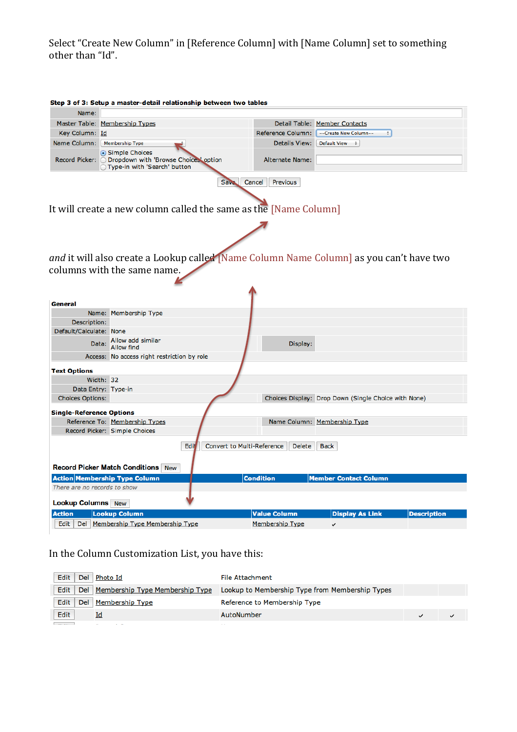Select "Create New Column" in [Reference Column] with [Name Column] set to something other than "Id".

|                                                        |                                                                                                                       | Step 3 of 3: Setup a master-detail relationship between two tables |                                                      |                    |
|--------------------------------------------------------|-----------------------------------------------------------------------------------------------------------------------|--------------------------------------------------------------------|------------------------------------------------------|--------------------|
| Name:                                                  |                                                                                                                       |                                                                    |                                                      |                    |
|                                                        | Master Table: Membership Types                                                                                        |                                                                    | Detail Table: Member Contacts                        |                    |
| Key Column: Id                                         |                                                                                                                       | Reference Column:                                                  | ÷<br>--Create New Column--                           |                    |
| Name Column:   Membership Type                         |                                                                                                                       | <b>Details View:</b>                                               | Default View $\div$                                  |                    |
|                                                        | ⊙ Simple Choices<br>Record Picker: O Dropdown with 'Browse Choices' option<br>◯ Type-in with 'Search' button          | <b>Alternate Name:</b>                                             |                                                      |                    |
|                                                        | It will create a new column called the same as the [Name Column]                                                      | Save<br>Cancel<br><b>Previous</b>                                  |                                                      |                    |
|                                                        | and it will also create a Lookup called Name Column Name Column] as you can't have two<br>columns with the same name. |                                                                    |                                                      |                    |
| General                                                |                                                                                                                       |                                                                    |                                                      |                    |
|                                                        | Name: Membership Type                                                                                                 |                                                                    |                                                      |                    |
| Description:                                           |                                                                                                                       |                                                                    |                                                      |                    |
| Default/Calculate: None                                |                                                                                                                       |                                                                    |                                                      |                    |
| Data:                                                  | Allow add similar<br><b>Allow find</b>                                                                                | Display:                                                           |                                                      |                    |
|                                                        | Access: No access right restriction by role                                                                           |                                                                    |                                                      |                    |
|                                                        |                                                                                                                       |                                                                    |                                                      |                    |
|                                                        |                                                                                                                       |                                                                    |                                                      |                    |
|                                                        | Width: 32                                                                                                             |                                                                    |                                                      |                    |
|                                                        | Data Entry: Type-in                                                                                                   |                                                                    |                                                      |                    |
| <b>Choices Options:</b>                                |                                                                                                                       |                                                                    | Choices Display: Drop Down (Single Choice with None) |                    |
|                                                        |                                                                                                                       |                                                                    |                                                      |                    |
|                                                        |                                                                                                                       |                                                                    |                                                      |                    |
|                                                        | Reference To: Membership Types                                                                                        |                                                                    | Name Column: Membership Type                         |                    |
| <b>Text Options</b><br><b>Single-Reference Options</b> | Record Picker: Simple Choices<br>Edit<br><b>Record Picker Match Conditions</b><br><b>New</b>                          | <b>Convert to Multi-Reference</b><br><b>Delete</b>                 | <b>Back</b>                                          |                    |
|                                                        | <b>Action Membership Type Column</b>                                                                                  | <b>Condition</b>                                                   | <b>Member Contact Column</b>                         |                    |
| There are no records to show                           |                                                                                                                       |                                                                    |                                                      |                    |
| <b>Lookup Columns</b> New                              |                                                                                                                       |                                                                    |                                                      |                    |
| <b>Action</b>                                          | <b>Lookup Column</b>                                                                                                  | <b>Value Column</b>                                                | <b>Display As Link</b>                               | <b>Description</b> |

## In the Column Customization List, you have this:

| Edit                     | Del Photo Id                        | <b>File Attachment</b>                          |  |
|--------------------------|-------------------------------------|-------------------------------------------------|--|
| Edit                     | Del Membership Type Membership Type | Lookup to Membership Type from Membership Types |  |
| Edit                     | Del Membership Type                 | Reference to Membership Type                    |  |
| Edit                     | Id                                  | AutoNumber                                      |  |
| <b>Contract Contract</b> |                                     | $\sim$ $\sim$                                   |  |